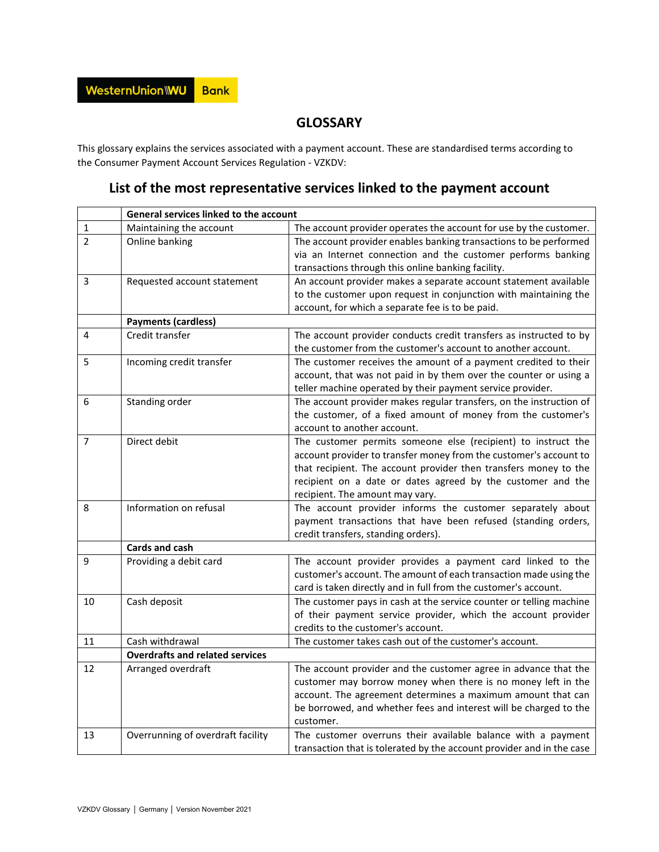## **GLOSSARY**

This glossary explains the services associated with a payment account. These are standardised terms according to the Consumer Payment Account Services Regulation - VZKDV:

## **List of the most representative services linked to the payment account**

|                | General services linked to the account |                                                                       |
|----------------|----------------------------------------|-----------------------------------------------------------------------|
| 1              | Maintaining the account                | The account provider operates the account for use by the customer.    |
| $\overline{2}$ | Online banking                         | The account provider enables banking transactions to be performed     |
|                |                                        | via an Internet connection and the customer performs banking          |
|                |                                        | transactions through this online banking facility.                    |
| 3              | Requested account statement            | An account provider makes a separate account statement available      |
|                |                                        | to the customer upon request in conjunction with maintaining the      |
|                |                                        | account, for which a separate fee is to be paid.                      |
|                | <b>Payments (cardless)</b>             |                                                                       |
| 4              | Credit transfer                        | The account provider conducts credit transfers as instructed to by    |
|                |                                        | the customer from the customer's account to another account.          |
| 5              | Incoming credit transfer               | The customer receives the amount of a payment credited to their       |
|                |                                        | account, that was not paid in by them over the counter or using a     |
|                |                                        | teller machine operated by their payment service provider.            |
| 6              | Standing order                         | The account provider makes regular transfers, on the instruction of   |
|                |                                        | the customer, of a fixed amount of money from the customer's          |
|                |                                        | account to another account.                                           |
| $\overline{7}$ | Direct debit                           | The customer permits someone else (recipient) to instruct the         |
|                |                                        | account provider to transfer money from the customer's account to     |
|                |                                        | that recipient. The account provider then transfers money to the      |
|                |                                        | recipient on a date or dates agreed by the customer and the           |
|                |                                        | recipient. The amount may vary.                                       |
| 8              | Information on refusal                 | The account provider informs the customer separately about            |
|                |                                        | payment transactions that have been refused (standing orders,         |
|                |                                        | credit transfers, standing orders).                                   |
|                | Cards and cash                         |                                                                       |
| 9              | Providing a debit card                 | The account provider provides a payment card linked to the            |
|                |                                        | customer's account. The amount of each transaction made using the     |
|                |                                        | card is taken directly and in full from the customer's account.       |
| 10             | Cash deposit                           | The customer pays in cash at the service counter or telling machine   |
|                |                                        | of their payment service provider, which the account provider         |
|                |                                        | credits to the customer's account.                                    |
| 11             | Cash withdrawal                        | The customer takes cash out of the customer's account.                |
|                | <b>Overdrafts and related services</b> |                                                                       |
| 12             | Arranged overdraft                     | The account provider and the customer agree in advance that the       |
|                |                                        | customer may borrow money when there is no money left in the          |
|                |                                        | account. The agreement determines a maximum amount that can           |
|                |                                        | be borrowed, and whether fees and interest will be charged to the     |
|                |                                        | customer.                                                             |
| 13             | Overrunning of overdraft facility      | The customer overruns their available balance with a payment          |
|                |                                        | transaction that is tolerated by the account provider and in the case |